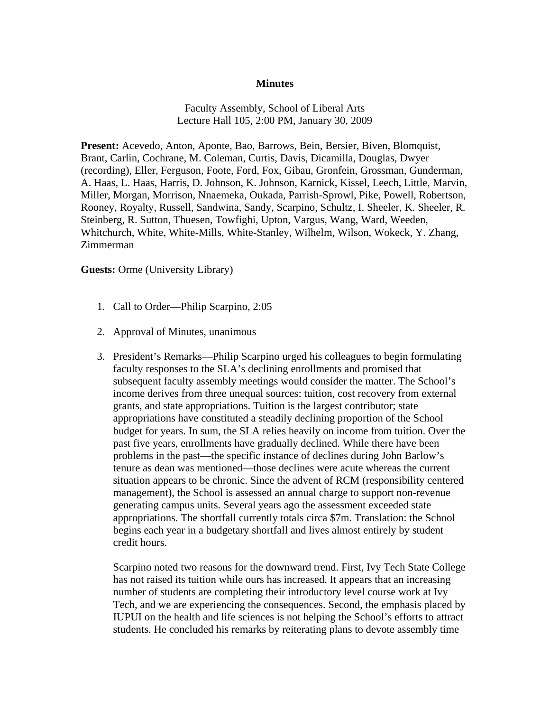## **Minutes**

Faculty Assembly, School of Liberal Arts Lecture Hall 105, 2:00 PM, January 30, 2009

**Present:** Acevedo, Anton, Aponte, Bao, Barrows, Bein, Bersier, Biven, Blomquist, Brant, Carlin, Cochrane, M. Coleman, Curtis, Davis, Dicamilla, Douglas, Dwyer (recording), Eller, Ferguson, Foote, Ford, Fox, Gibau, Gronfein, Grossman, Gunderman, A. Haas, L. Haas, Harris, D. Johnson, K. Johnson, Karnick, Kissel, Leech, Little, Marvin, Miller, Morgan, Morrison, Nnaemeka, Oukada, Parrish-Sprowl, Pike, Powell, Robertson, Rooney, Royalty, Russell, Sandwina, Sandy, Scarpino, Schultz, I. Sheeler, K. Sheeler, R. Steinberg, R. Sutton, Thuesen, Towfighi, Upton, Vargus, Wang, Ward, Weeden, Whitchurch, White, White-Mills, White-Stanley, Wilhelm, Wilson, Wokeck, Y. Zhang, Zimmerman

**Guests:** Orme (University Library)

- 1. Call to Order—Philip Scarpino, 2:05
- 2. Approval of Minutes, unanimous
- 3. President's Remarks—Philip Scarpino urged his colleagues to begin formulating faculty responses to the SLA's declining enrollments and promised that subsequent faculty assembly meetings would consider the matter. The School's income derives from three unequal sources: tuition, cost recovery from external grants, and state appropriations. Tuition is the largest contributor; state appropriations have constituted a steadily declining proportion of the School budget for years. In sum, the SLA relies heavily on income from tuition. Over the past five years, enrollments have gradually declined. While there have been problems in the past—the specific instance of declines during John Barlow's tenure as dean was mentioned—those declines were acute whereas the current situation appears to be chronic. Since the advent of RCM (responsibility centered management), the School is assessed an annual charge to support non-revenue generating campus units. Several years ago the assessment exceeded state appropriations. The shortfall currently totals circa \$7m. Translation: the School begins each year in a budgetary shortfall and lives almost entirely by student credit hours.

Scarpino noted two reasons for the downward trend. First, Ivy Tech State College has not raised its tuition while ours has increased. It appears that an increasing number of students are completing their introductory level course work at Ivy Tech, and we are experiencing the consequences. Second, the emphasis placed by IUPUI on the health and life sciences is not helping the School's efforts to attract students. He concluded his remarks by reiterating plans to devote assembly time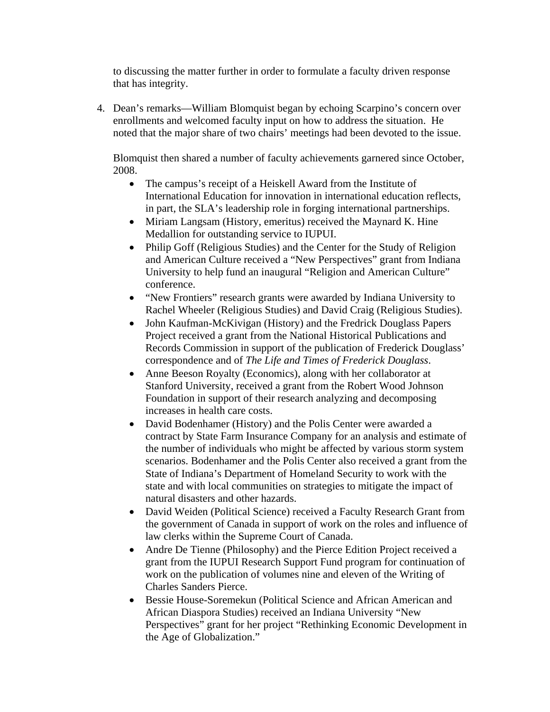to discussing the matter further in order to formulate a faculty driven response that has integrity.

4. Dean's remarks—William Blomquist began by echoing Scarpino's concern over enrollments and welcomed faculty input on how to address the situation. He noted that the major share of two chairs' meetings had been devoted to the issue.

Blomquist then shared a number of faculty achievements garnered since October, 2008.

- The campus's receipt of a Heiskell Award from the Institute of International Education for innovation in international education reflects, in part, the SLA's leadership role in forging international partnerships.
- Miriam Langsam (History, emeritus) received the Maynard K. Hine Medallion for outstanding service to IUPUI.
- Philip Goff (Religious Studies) and the Center for the Study of Religion and American Culture received a "New Perspectives" grant from Indiana University to help fund an inaugural "Religion and American Culture" conference.
- "New Frontiers" research grants were awarded by Indiana University to Rachel Wheeler (Religious Studies) and David Craig (Religious Studies).
- John Kaufman-McKivigan (History) and the Fredrick Douglass Papers Project received a grant from the National Historical Publications and Records Commission in support of the publication of Frederick Douglass' correspondence and of *The Life and Times of Frederick Douglass*.
- Anne Beeson Royalty (Economics), along with her collaborator at Stanford University, received a grant from the Robert Wood Johnson Foundation in support of their research analyzing and decomposing increases in health care costs.
- David Bodenhamer (History) and the Polis Center were awarded a contract by State Farm Insurance Company for an analysis and estimate of the number of individuals who might be affected by various storm system scenarios. Bodenhamer and the Polis Center also received a grant from the State of Indiana's Department of Homeland Security to work with the state and with local communities on strategies to mitigate the impact of natural disasters and other hazards.
- David Weiden (Political Science) received a Faculty Research Grant from the government of Canada in support of work on the roles and influence of law clerks within the Supreme Court of Canada.
- Andre De Tienne (Philosophy) and the Pierce Edition Project received a grant from the IUPUI Research Support Fund program for continuation of work on the publication of volumes nine and eleven of the Writing of Charles Sanders Pierce.
- Bessie House-Soremekun (Political Science and African American and African Diaspora Studies) received an Indiana University "New Perspectives" grant for her project "Rethinking Economic Development in the Age of Globalization."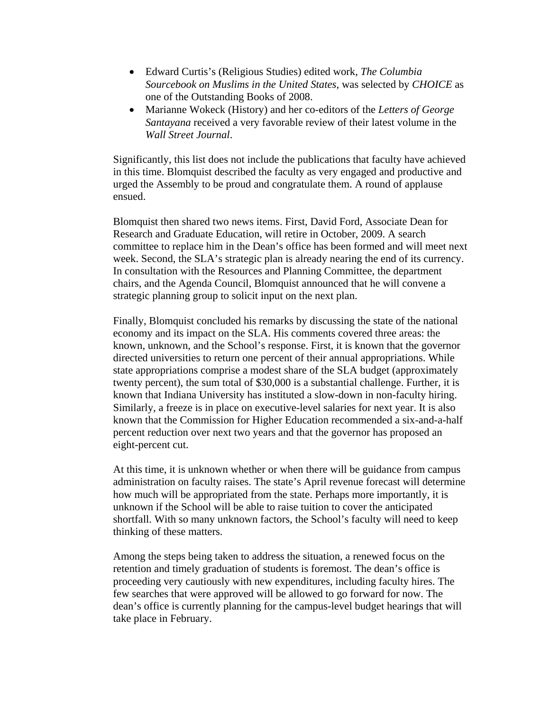- Edward Curtis's (Religious Studies) edited work, *The Columbia Sourcebook on Muslims in the United States*, was selected by *CHOICE* as one of the Outstanding Books of 2008.
- Marianne Wokeck (History) and her co-editors of the *Letters of George Santayana* received a very favorable review of their latest volume in the *Wall Street Journal*.

Significantly, this list does not include the publications that faculty have achieved in this time. Blomquist described the faculty as very engaged and productive and urged the Assembly to be proud and congratulate them. A round of applause ensued.

Blomquist then shared two news items. First, David Ford, Associate Dean for Research and Graduate Education, will retire in October, 2009. A search committee to replace him in the Dean's office has been formed and will meet next week. Second, the SLA's strategic plan is already nearing the end of its currency. In consultation with the Resources and Planning Committee, the department chairs, and the Agenda Council, Blomquist announced that he will convene a strategic planning group to solicit input on the next plan.

Finally, Blomquist concluded his remarks by discussing the state of the national economy and its impact on the SLA. His comments covered three areas: the known, unknown, and the School's response. First, it is known that the governor directed universities to return one percent of their annual appropriations. While state appropriations comprise a modest share of the SLA budget (approximately twenty percent), the sum total of \$30,000 is a substantial challenge. Further, it is known that Indiana University has instituted a slow-down in non-faculty hiring. Similarly, a freeze is in place on executive-level salaries for next year. It is also known that the Commission for Higher Education recommended a six-and-a-half percent reduction over next two years and that the governor has proposed an eight-percent cut.

At this time, it is unknown whether or when there will be guidance from campus administration on faculty raises. The state's April revenue forecast will determine how much will be appropriated from the state. Perhaps more importantly, it is unknown if the School will be able to raise tuition to cover the anticipated shortfall. With so many unknown factors, the School's faculty will need to keep thinking of these matters.

Among the steps being taken to address the situation, a renewed focus on the retention and timely graduation of students is foremost. The dean's office is proceeding very cautiously with new expenditures, including faculty hires. The few searches that were approved will be allowed to go forward for now. The dean's office is currently planning for the campus-level budget hearings that will take place in February.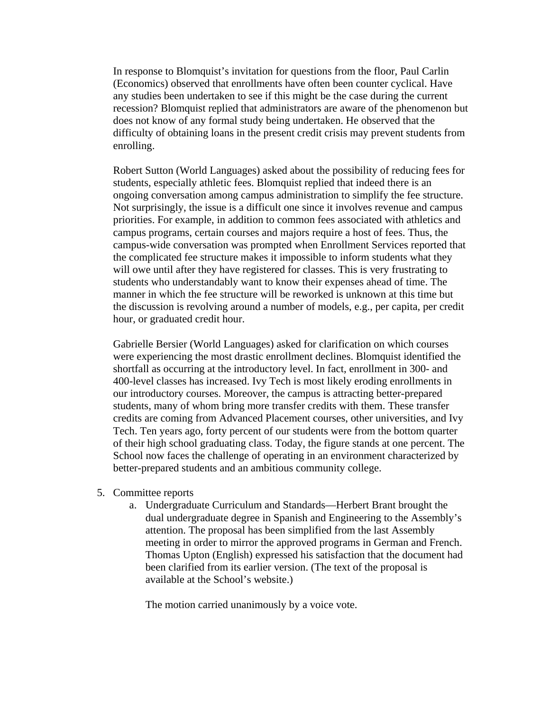In response to Blomquist's invitation for questions from the floor, Paul Carlin (Economics) observed that enrollments have often been counter cyclical. Have any studies been undertaken to see if this might be the case during the current recession? Blomquist replied that administrators are aware of the phenomenon but does not know of any formal study being undertaken. He observed that the difficulty of obtaining loans in the present credit crisis may prevent students from enrolling.

Robert Sutton (World Languages) asked about the possibility of reducing fees for students, especially athletic fees. Blomquist replied that indeed there is an ongoing conversation among campus administration to simplify the fee structure. Not surprisingly, the issue is a difficult one since it involves revenue and campus priorities. For example, in addition to common fees associated with athletics and campus programs, certain courses and majors require a host of fees. Thus, the campus-wide conversation was prompted when Enrollment Services reported that the complicated fee structure makes it impossible to inform students what they will owe until after they have registered for classes. This is very frustrating to students who understandably want to know their expenses ahead of time. The manner in which the fee structure will be reworked is unknown at this time but the discussion is revolving around a number of models, e.g., per capita, per credit hour, or graduated credit hour.

Gabrielle Bersier (World Languages) asked for clarification on which courses were experiencing the most drastic enrollment declines. Blomquist identified the shortfall as occurring at the introductory level. In fact, enrollment in 300- and 400-level classes has increased. Ivy Tech is most likely eroding enrollments in our introductory courses. Moreover, the campus is attracting better-prepared students, many of whom bring more transfer credits with them. These transfer credits are coming from Advanced Placement courses, other universities, and Ivy Tech. Ten years ago, forty percent of our students were from the bottom quarter of their high school graduating class. Today, the figure stands at one percent. The School now faces the challenge of operating in an environment characterized by better-prepared students and an ambitious community college.

- 5. Committee reports
	- a. Undergraduate Curriculum and Standards—Herbert Brant brought the dual undergraduate degree in Spanish and Engineering to the Assembly's attention. The proposal has been simplified from the last Assembly meeting in order to mirror the approved programs in German and French. Thomas Upton (English) expressed his satisfaction that the document had been clarified from its earlier version. (The text of the proposal is available at the School's website.)

The motion carried unanimously by a voice vote.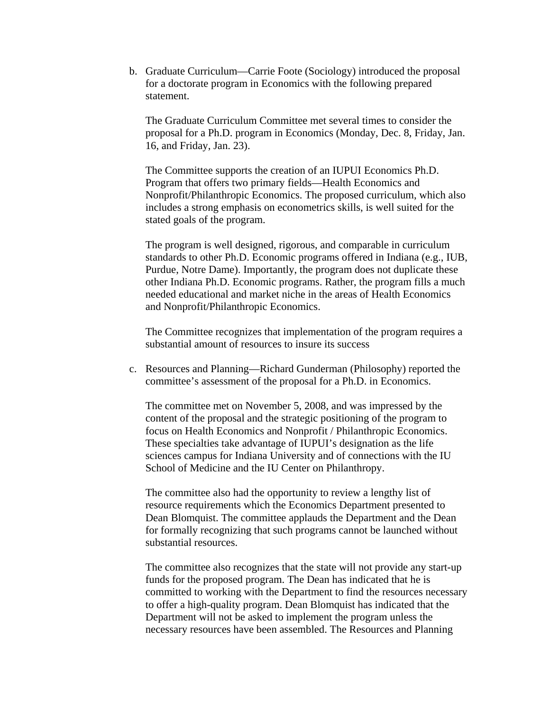b. Graduate Curriculum—Carrie Foote (Sociology) introduced the proposal for a doctorate program in Economics with the following prepared statement.

The Graduate Curriculum Committee met several times to consider the proposal for a Ph.D. program in Economics (Monday, Dec. 8, Friday, Jan. 16, and Friday, Jan. 23).

The Committee supports the creation of an IUPUI Economics Ph.D. Program that offers two primary fields—Health Economics and Nonprofit/Philanthropic Economics. The proposed curriculum, which also includes a strong emphasis on econometrics skills, is well suited for the stated goals of the program.

The program is well designed, rigorous, and comparable in curriculum standards to other Ph.D. Economic programs offered in Indiana (e.g., IUB, Purdue, Notre Dame). Importantly, the program does not duplicate these other Indiana Ph.D. Economic programs. Rather, the program fills a much needed educational and market niche in the areas of Health Economics and Nonprofit/Philanthropic Economics.

The Committee recognizes that implementation of the program requires a substantial amount of resources to insure its success

c. Resources and Planning—Richard Gunderman (Philosophy) reported the committee's assessment of the proposal for a Ph.D. in Economics.

The committee met on November 5, 2008, and was impressed by the content of the proposal and the strategic positioning of the program to focus on Health Economics and Nonprofit / Philanthropic Economics. These specialties take advantage of IUPUI's designation as the life sciences campus for Indiana University and of connections with the IU School of Medicine and the IU Center on Philanthropy.

The committee also had the opportunity to review a lengthy list of resource requirements which the Economics Department presented to Dean Blomquist. The committee applauds the Department and the Dean for formally recognizing that such programs cannot be launched without substantial resources.

The committee also recognizes that the state will not provide any start-up funds for the proposed program. The Dean has indicated that he is committed to working with the Department to find the resources necessary to offer a high-quality program. Dean Blomquist has indicated that the Department will not be asked to implement the program unless the necessary resources have been assembled. The Resources and Planning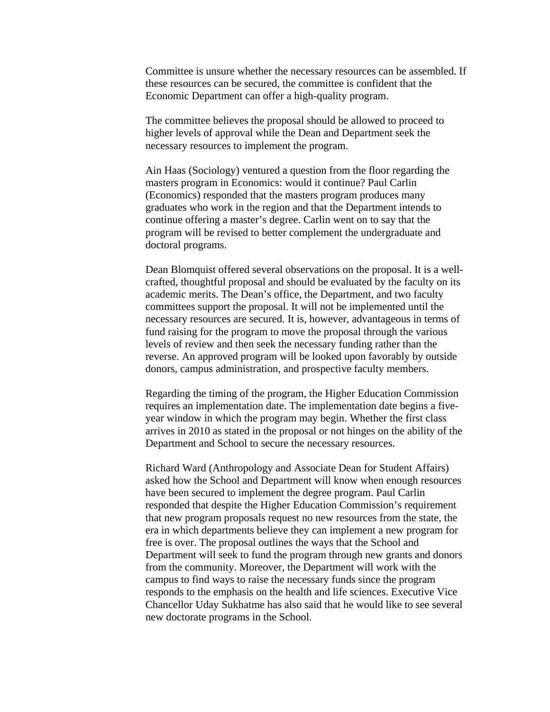Committee is unsure whether the necessary resources can be assembled. If these resources can be secured, the committee is confident that the Economic Department can offer a high-quality program.

The committee believes the proposal should be allowed to proceed to higher levels of approval while the Dean and Department seek the necessary resources to implement the program.

Ain Haas (Sociology) ventured a question from the floor regarding the masters program in Economics: would it continue? Paul Carlin (Economics) responded that the masters program produces many graduates who work in the region and that the Department intends to continue offering a master's degree. Carlin went on to say that the program will be revised to better complement the undergraduate and doctoral programs.

Dean Blomquist offered several observations on the proposal. It is a wellcrafted, thoughtful proposal and should be evaluated by the faculty on its academic merits. The Dean's office, the Department, and two faculty committees support the proposal. It will not be implemented until the necessary resources are secured. It is, however, advantageous in terms of fund raising for the program to move the proposal through the various levels of review and then seek the necessary funding rather than the reverse. An approved program will be looked upon favorably by outside donors, campus administration, and prospective faculty members.

Regarding the timing of the program, the Higher Education Commission requires an implementation date. The implementation date begins a fiveyear window in which the program may begin. Whether the first class arrives in 2010 as stated in the proposal or not hinges on the ability of the Department and School to secure the necessary resources.

Richard Ward (Anthropology and Associate Dean for Student Affairs) asked how the School and Department will know when enough resources have been secured to implement the degree program. Paul Carlin responded that despite the Higher Education Commission's requirement that new program proposals request no new resources from the state, the era in which departments believe they can implement a new program for free is over. The proposal outlines the ways that the School and Department will seek to fund the program through new grants and donors from the community. Moreover, the Department will work with the campus to find ways to raise the necessary funds since the program responds to the emphasis on the health and life sciences. Executive Vice Chancellor Uday Sukhatme has also said that he would like to see several new doctorate programs in the School.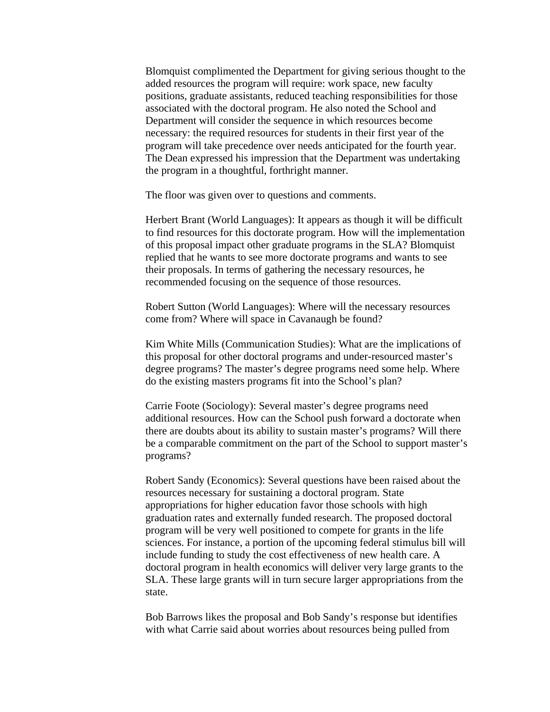Blomquist complimented the Department for giving serious thought to the added resources the program will require: work space, new faculty positions, graduate assistants, reduced teaching responsibilities for those associated with the doctoral program. He also noted the School and Department will consider the sequence in which resources become necessary: the required resources for students in their first year of the program will take precedence over needs anticipated for the fourth year. The Dean expressed his impression that the Department was undertaking the program in a thoughtful, forthright manner.

The floor was given over to questions and comments.

Herbert Brant (World Languages): It appears as though it will be difficult to find resources for this doctorate program. How will the implementation of this proposal impact other graduate programs in the SLA? Blomquist replied that he wants to see more doctorate programs and wants to see their proposals. In terms of gathering the necessary resources, he recommended focusing on the sequence of those resources.

Robert Sutton (World Languages): Where will the necessary resources come from? Where will space in Cavanaugh be found?

Kim White Mills (Communication Studies): What are the implications of this proposal for other doctoral programs and under-resourced master's degree programs? The master's degree programs need some help. Where do the existing masters programs fit into the School's plan?

Carrie Foote (Sociology): Several master's degree programs need additional resources. How can the School push forward a doctorate when there are doubts about its ability to sustain master's programs? Will there be a comparable commitment on the part of the School to support master's programs?

Robert Sandy (Economics): Several questions have been raised about the resources necessary for sustaining a doctoral program. State appropriations for higher education favor those schools with high graduation rates and externally funded research. The proposed doctoral program will be very well positioned to compete for grants in the life sciences. For instance, a portion of the upcoming federal stimulus bill will include funding to study the cost effectiveness of new health care. A doctoral program in health economics will deliver very large grants to the SLA. These large grants will in turn secure larger appropriations from the state.

Bob Barrows likes the proposal and Bob Sandy's response but identifies with what Carrie said about worries about resources being pulled from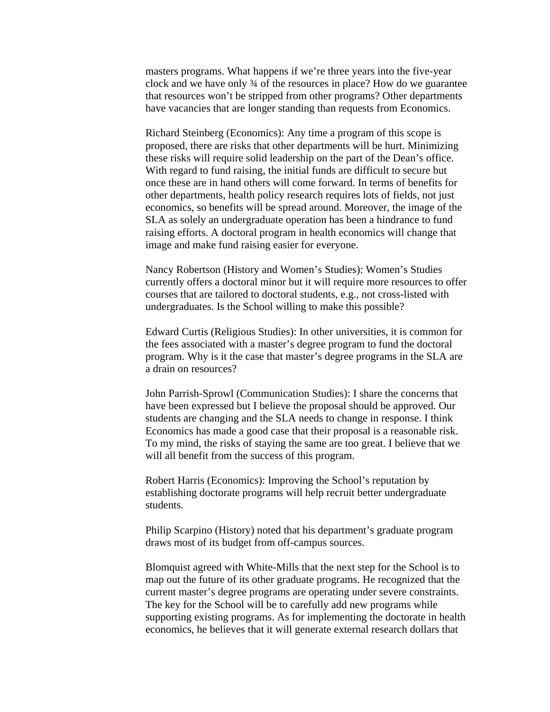masters programs. What happens if we're three years into the five-year clock and we have only ¾ of the resources in place? How do we guarantee that resources won't be stripped from other programs? Other departments have vacancies that are longer standing than requests from Economics.

Richard Steinberg (Economics): Any time a program of this scope is proposed, there are risks that other departments will be hurt. Minimizing these risks will require solid leadership on the part of the Dean's office. With regard to fund raising, the initial funds are difficult to secure but once these are in hand others will come forward. In terms of benefits for other departments, health policy research requires lots of fields, not just economics, so benefits will be spread around. Moreover, the image of the SLA as solely an undergraduate operation has been a hindrance to fund raising efforts. A doctoral program in health economics will change that image and make fund raising easier for everyone.

Nancy Robertson (History and Women's Studies): Women's Studies currently offers a doctoral minor but it will require more resources to offer courses that are tailored to doctoral students, e.g., not cross-listed with undergraduates. Is the School willing to make this possible?

Edward Curtis (Religious Studies): In other universities, it is common for the fees associated with a master's degree program to fund the doctoral program. Why is it the case that master's degree programs in the SLA are a drain on resources?

John Parrish-Sprowl (Communication Studies): I share the concerns that have been expressed but I believe the proposal should be approved. Our students are changing and the SLA needs to change in response. I think Economics has made a good case that their proposal is a reasonable risk. To my mind, the risks of staying the same are too great. I believe that we will all benefit from the success of this program.

Robert Harris (Economics): Improving the School's reputation by establishing doctorate programs will help recruit better undergraduate students.

Philip Scarpino (History) noted that his department's graduate program draws most of its budget from off-campus sources.

Blomquist agreed with White-Mills that the next step for the School is to map out the future of its other graduate programs. He recognized that the current master's degree programs are operating under severe constraints. The key for the School will be to carefully add new programs while supporting existing programs. As for implementing the doctorate in health economics, he believes that it will generate external research dollars that